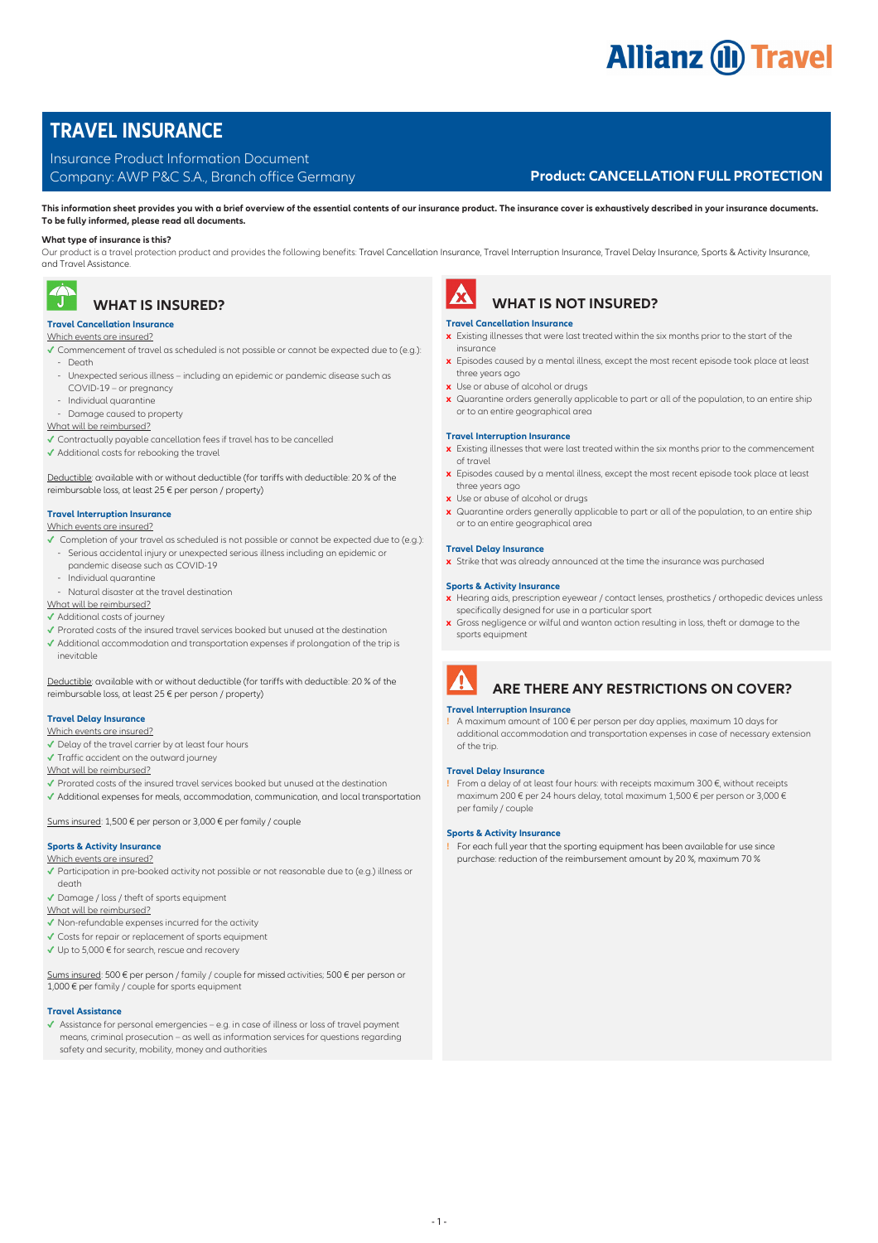# **Allianz (ii) Travel**

# **TRAVEL INSURANCE**

## Insurance Product Information Document

# Company: AWP P&C S.A., Branch office Germany **Product: CANCELLATION FULL PROTECTION**

**This information sheet provides you with a brief overview of the essential contents of our insurance product. The insurance cover is exhaustively described in your insurance documents. To be fully informed, please read all documents.** 

## **What type of insurance is this?**

Our product is a travel protection product and provides the following benefits: Travel Cancellation Insurance, Travel Interruption Insurance, Travel Delay Insurance, Sports & Activity Insurance, and Travel Assistance.



# **WHAT IS INSURED?**

## **Travel Cancellation Insurance**

- Which events are insured?
- **✓** Commencement of travel as scheduled is not possible or cannot be expected due to (e.g.): - Death
- Unexpected serious illness including an epidemic or pandemic disease such as
- COVID-19 or pregnancy
- Individual quarantine
- Damage caused to property

## What will be reimbursed?

- **✓** Contractually payable cancellation fees if travel has to be cancelled
- **✓** Additional costs for rebooking the travel

Deductible: available with or without deductible (for tariffs with deductible: 20 % of the reimbursable loss, at least 25 € per person / property)

#### **Travel Interruption Insurance**

#### Which events are insured?

- **✓** Completion of your travel as scheduled is not possible or cannot be expected due to (e.g.): - Serious accidental injury or unexpected serious illness including an epidemic or pandemic disease such as COVID-19
- Individual quarantine
- 
- Natural disaster at the travel destination

# What will be reimbursed?

- **✓** Additional costs of journey
- **✓** Prorated costs of the insured travel services booked but unused at the destination
- **✓** Additional accommodation and transportation expenses if prolongation of the trip is inevitable

Deductible: available with or without deductible (for tariffs with deductible: 20 % of the reimbursable loss, at least 25 € per person / property)

## **Travel Delay Insurance**

- Which events are insured?
- **✓** Delay of the travel carrier by at least four hours
- **✓** Traffic accident on the outward journey
- What will be reimbursed?
- **✓** Prorated costs of the insured travel services booked but unused at the destination
- **✓** Additional expenses for meals, accommodation, communication, and local transportation

#### Sums insured: 1,500 € per person or 3,000 € per family / couple

#### **Sports & Activity Insurance**

- Which events are insured?
- **✓** Participation in pre-booked activity not possible or not reasonable due to (e.g.) illness or death
- **✓** Damage / loss / theft of sports equipment
- What will be reimbursed?
- **✓** Non-refundable expenses incurred for the activity
- **✓** Costs for repair or replacement of sports equipment
- **✓** Up to 5,000 € for search, rescue and recovery

Sums insured: 500 € per person / family / couple for missed activities; 500 € per person or  $1,000 \in$  per family / couple for sports equipment

## **Travel Assistance**

**✓** Assistance for personal emergencies – e.g. in case of illness or loss of travel payment means, criminal prosecution – as well as information services for questions regarding safety and security, mobility, money and authorities



# **WHAT IS NOT INSURED?**

## **Travel Cancellation Insurance**

- **x** Existing illnesses that were last treated within the six months prior to the start of the insurance
- **x** Episodes caused by a mental illness, except the most recent episode took place at least three years ago
- **x** Use or abuse of alcohol or drugs
- **x** Quarantine orders generally applicable to part or all of the population, to an entire ship or to an entire geographical area

#### **Travel Interruption Insurance**

- **x** Existing illnesses that were last treated within the six months prior to the commencement of travel
- **x** Episodes caused by a mental illness, except the most recent episode took place at least three years ago
- **x** Use or abuse of alcohol or druas
- **x** Quarantine orders generally applicable to part or all of the population, to an entire ship or to an entire geographical area

#### **Travel Delay Insurance**

**x** Strike that was already announced at the time the insurance was purchased

#### **Sports & Activity Insurance**

- **x** Hearing aids, prescription eyewear / contact lenses, prosthetics / orthopedic devices unless specifically designed for use in a particular sport
- **x** Gross negligence or wilful and wanton action resulting in loss, theft or damage to the sports equipment

# **ARE THERE ANY RESTRICTIONS ON COVER?**

#### **Travel Interruption Insurance**

**!** A maximum amount of 100 € per person per day applies, maximum 10 days for additional accommodation and transportation expenses in case of necessary extension of the trip.

#### **Travel Delay Insurance**

**!** From a delay of at least four hours: with receipts maximum 300 €, without receipts maximum 200 € per 24 hours delay, total maximum 1,500 € per person or 3,000 € per family / couple

## **Sports & Activity Insurance**

**!** For each full year that the sporting equipment has been available for use since purchase: reduction of the reimbursement amount by 20 %, maximum 70 %